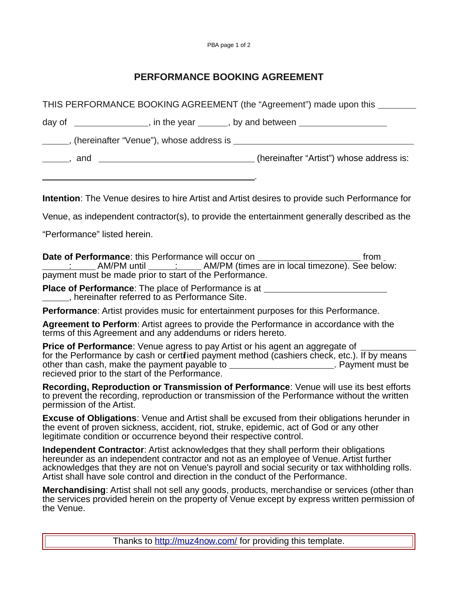## **PERFORMANCE BOOKING AGREEMENT**

| THIS PERFORMANCE BOOKING AGREEMENT (the "Agreement") made upon this                                                                                                                                          |                                                                                                                                                                                                                                                                                                                                                                                                                                                                                |
|--------------------------------------------------------------------------------------------------------------------------------------------------------------------------------------------------------------|--------------------------------------------------------------------------------------------------------------------------------------------------------------------------------------------------------------------------------------------------------------------------------------------------------------------------------------------------------------------------------------------------------------------------------------------------------------------------------|
|                                                                                                                                                                                                              |                                                                                                                                                                                                                                                                                                                                                                                                                                                                                |
|                                                                                                                                                                                                              | ______, (hereinafter "Venue"), whose address is ________________________________                                                                                                                                                                                                                                                                                                                                                                                               |
|                                                                                                                                                                                                              | _______, and __________________________________(hereinafter "Artist") whose address is:                                                                                                                                                                                                                                                                                                                                                                                        |
|                                                                                                                                                                                                              | <b>Intention</b> : The Venue desires to hire Artist and Artist desires to provide such Performance for                                                                                                                                                                                                                                                                                                                                                                         |
|                                                                                                                                                                                                              |                                                                                                                                                                                                                                                                                                                                                                                                                                                                                |
|                                                                                                                                                                                                              | Venue, as independent contractor(s), to provide the entertainment generally described as the                                                                                                                                                                                                                                                                                                                                                                                   |
|                                                                                                                                                                                                              | "Performance" listed herein.                                                                                                                                                                                                                                                                                                                                                                                                                                                   |
|                                                                                                                                                                                                              | Date of Performance: this Performance will occur on ____________________________ from _<br>: AM/PM until _____: _____AM/PM (times are in local timezone). See below:<br>payment must be made prior to start of the Performance.                                                                                                                                                                                                                                                |
|                                                                                                                                                                                                              | <b>Place of Performance:</b> The place of Performance is at __________________________<br>_____, hereinafter referred to as Performance Site.                                                                                                                                                                                                                                                                                                                                  |
|                                                                                                                                                                                                              | <b>Performance:</b> Artist provides music for entertainment purposes for this Performance.                                                                                                                                                                                                                                                                                                                                                                                     |
|                                                                                                                                                                                                              | Agreement to Perform: Artist agrees to provide the Performance in accordance with the<br>terms of this Agreement and any addendums or riders hereto.                                                                                                                                                                                                                                                                                                                           |
|                                                                                                                                                                                                              | <b>Price of Performance:</b> Venue agress to pay Artist or his agent an aggregate of<br>for the Performance by cash or certified payment method (cashiers check, etc.). If by means<br>other than cash, make the payment payable to <b>with the contract mate of the contract of the contract of the contract of the contract of the contract of the contract of the contract of the contract of the contract of the co</b><br>recieved prior to the start of the Performance. |
|                                                                                                                                                                                                              | Recording, Reproduction or Transmission of Performance: Venue will use its best efforts<br>to prevent the recording, reproduction or transmission of the Performance without the written<br>permission of the Artist.                                                                                                                                                                                                                                                          |
|                                                                                                                                                                                                              | <b>Excuse of Obligations:</b> Venue and Artist shall be excused from their obligations herunder in<br>the event of proven sickness, accident, riot, struke, epidemic, act of God or any other<br>legitimate condition or occurrence beyond their respective control.                                                                                                                                                                                                           |
|                                                                                                                                                                                                              | <b>Independent Contractor:</b> Artist acknowledges that they shall perform their obligations<br>hereunder as an independent contractor and not as an employee of Venue. Artist further<br>acknowledges that they are not on Venue's payroll and social security or tax withholding rolls.<br>Artist shall have sole control and direction in the conduct of the Performance.                                                                                                   |
| Merchandising: Artist shall not sell any goods, products, merchandise or services (other than<br>the services provided herein on the property of Venue except by express written permission of<br>the Venue. |                                                                                                                                                                                                                                                                                                                                                                                                                                                                                |

Thanks to<http://muz4now.com/>for providing this template.